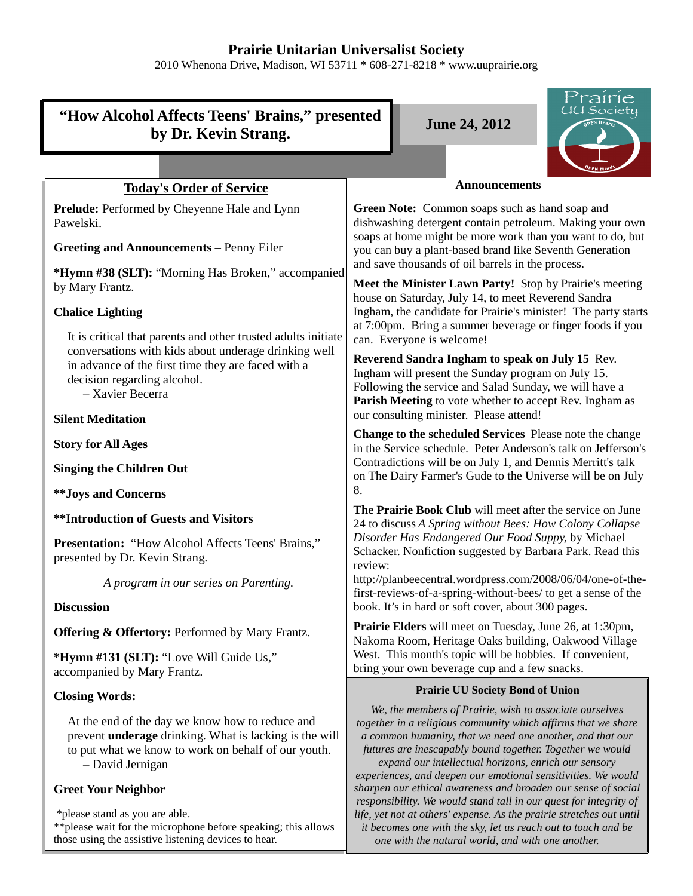# **Prairie Unitarian Universalist Society**

2010 Whenona Drive, Madison, WI 53711 \* 608-271-8218 \* www.uuprairie.org

|                                                                                                                                                                                             | Prairie                                                                                                                                                                                                                                                                                                                                                                     |
|---------------------------------------------------------------------------------------------------------------------------------------------------------------------------------------------|-----------------------------------------------------------------------------------------------------------------------------------------------------------------------------------------------------------------------------------------------------------------------------------------------------------------------------------------------------------------------------|
| UU Society<br>"How Alcohol Affects Teens' Brains," presented<br><b>June 24, 2012</b>                                                                                                        |                                                                                                                                                                                                                                                                                                                                                                             |
| by Dr. Kevin Strang.                                                                                                                                                                        |                                                                                                                                                                                                                                                                                                                                                                             |
|                                                                                                                                                                                             |                                                                                                                                                                                                                                                                                                                                                                             |
| <b>Today's Order of Service</b>                                                                                                                                                             | <b>Announcements</b>                                                                                                                                                                                                                                                                                                                                                        |
| Prelude: Performed by Cheyenne Hale and Lynn<br>Pawelski.                                                                                                                                   | Green Note: Common soaps such as hand soap and<br>dishwashing detergent contain petroleum. Making your own<br>soaps at home might be more work than you want to do, but                                                                                                                                                                                                     |
| <b>Greeting and Announcements - Penny Eiler</b>                                                                                                                                             | you can buy a plant-based brand like Seventh Generation                                                                                                                                                                                                                                                                                                                     |
| *Hymn #38 (SLT): "Morning Has Broken," accompanied<br>by Mary Frantz.                                                                                                                       | and save thousands of oil barrels in the process.<br>Meet the Minister Lawn Party! Stop by Prairie's meeting                                                                                                                                                                                                                                                                |
| <b>Chalice Lighting</b>                                                                                                                                                                     | house on Saturday, July 14, to meet Reverend Sandra<br>Ingham, the candidate for Prairie's minister! The party starts<br>at 7:00pm. Bring a summer beverage or finger foods if you                                                                                                                                                                                          |
| It is critical that parents and other trusted adults initiate<br>conversations with kids about underage drinking well                                                                       | can. Everyone is welcome!                                                                                                                                                                                                                                                                                                                                                   |
| in advance of the first time they are faced with a<br>decision regarding alcohol.<br>- Xavier Becerra                                                                                       | Reverend Sandra Ingham to speak on July 15 Rev.<br>Ingham will present the Sunday program on July 15.<br>Following the service and Salad Sunday, we will have a<br>Parish Meeting to vote whether to accept Rev. Ingham as                                                                                                                                                  |
| <b>Silent Meditation</b>                                                                                                                                                                    | our consulting minister. Please attend!                                                                                                                                                                                                                                                                                                                                     |
| <b>Story for All Ages</b>                                                                                                                                                                   | <b>Change to the scheduled Services</b> Please note the change<br>in the Service schedule. Peter Anderson's talk on Jefferson's                                                                                                                                                                                                                                             |
| <b>Singing the Children Out</b>                                                                                                                                                             | Contradictions will be on July 1, and Dennis Merritt's talk<br>on The Dairy Farmer's Gude to the Universe will be on July                                                                                                                                                                                                                                                   |
| <b>**Joys and Concerns</b>                                                                                                                                                                  | 8.                                                                                                                                                                                                                                                                                                                                                                          |
| <b>**Introduction of Guests and Visitors</b>                                                                                                                                                | The Prairie Book Club will meet after the service on June<br>24 to discuss A Spring without Bees: How Colony Collapse                                                                                                                                                                                                                                                       |
| <b>Presentation:</b> "How Alcohol Affects Teens' Brains,"<br>presented by Dr. Kevin Strang.                                                                                                 | Disorder Has Endangered Our Food Suppy, by Michael<br>Schacker. Nonfiction suggested by Barbara Park. Read this<br>review:                                                                                                                                                                                                                                                  |
| A program in our series on Parenting.                                                                                                                                                       | http://planbeecentral.wordpress.com/2008/06/04/one-of-the-<br>first-reviews-of-a-spring-without-bees/ to get a sense of the                                                                                                                                                                                                                                                 |
| <b>Discussion</b>                                                                                                                                                                           | book. It's in hard or soft cover, about 300 pages.                                                                                                                                                                                                                                                                                                                          |
| <b>Offering &amp; Offertory: Performed by Mary Frantz.</b>                                                                                                                                  | <b>Prairie Elders</b> will meet on Tuesday, June 26, at 1:30pm,<br>Nakoma Room, Heritage Oaks building, Oakwood Village                                                                                                                                                                                                                                                     |
| *Hymn #131 (SLT): "Love Will Guide Us,"<br>accompanied by Mary Frantz.                                                                                                                      | West. This month's topic will be hobbies. If convenient,<br>bring your own beverage cup and a few snacks.                                                                                                                                                                                                                                                                   |
| <b>Closing Words:</b>                                                                                                                                                                       | <b>Prairie UU Society Bond of Union</b>                                                                                                                                                                                                                                                                                                                                     |
| At the end of the day we know how to reduce and<br>prevent <b>underage</b> drinking. What is lacking is the will<br>to put what we know to work on behalf of our youth.<br>- David Jernigan | We, the members of Prairie, wish to associate ourselves<br>together in a religious community which affirms that we share<br>a common humanity, that we need one another, and that our<br>futures are inescapably bound together. Together we would<br>expand our intellectual horizons, enrich our sensory<br>experiences, and deepen our emotional sensitivities. We would |
| <b>Greet Your Neighbor</b>                                                                                                                                                                  | sharpen our ethical awareness and broaden our sense of social<br>responsibility. We would stand tall in our quest for integrity of                                                                                                                                                                                                                                          |
| *please stand as you are able.<br>** please wait for the microphone before speaking; this allows                                                                                            | life, yet not at others' expense. As the prairie stretches out until<br>it becomes one with the sky, let us reach out to touch and be                                                                                                                                                                                                                                       |

*one with the natural world, and with one another.* 

those using the assistive listening devices to hear.